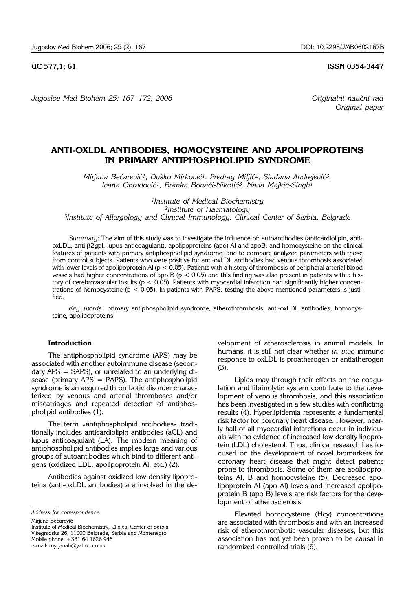**UC 577,1; 61 ISSN 0354-3447** 

*Jugoslov Med Biohem 25: 167–172, 2006 Originalni naučni rad* 

*Original paper*

# **ANTI-OXLDL ANTIBODIES, HOMOCYSTEINE AND APOLIPOPROTEINS IN PRIMARY ANTIPHOSPHOLIPID SYNDROME**

Mirjana Bećarević<sup>1</sup>, Duško Mirković<sup>1</sup>, Predrag Miljić<sup>2</sup>, Slađana Andrejević<sup>3</sup>, *Ivana Obradović<sup>1</sup>, Branka Bonači-Nikolić<sup>3</sup>, Nada Majkić-Singh<sup>1</sup>* 

*1Institute of Medical Biochemistry 2Institute of Haematology 3Institute of Allergology and Clinical Immunology, Clinical Center of Serbia, Belgrade*

*Summary:* The aim of this study was to investigate the influence of: autoantibodies (anticardiolipin, antioxLDL, anti-b2gpI, lupus anticoagulant), apolipoproteins (apo) AI and apoB, and homocysteine on the clinical features of patients with primary antiphospholipid syndrome, and to compare analyzed parameters with those from control subjects. Patients who were positive for anti-oxLDL antibodies had venous thrombosis associated with lower levels of apolipoprotein AI ( $p < 0.05$ ). Patients with a history of thrombosis of peripheral arterial blood vessels had higher concentrations of apo B ( $p < 0.05$ ) and this finding was also present in patients with a history of cerebrovascular insults ( $p < 0.05$ ). Patients with myocardial infarction had significantly higher concentrations of homocysteine ( $p < 0.05$ ). In patients with PAPS, testing the above-mentioned parameters is justified.

*Key words:* primary antiphospholipid syndrome, atherothrombosis, anti-oxLDL antibodies, homocysteine, apolipoproteins

## **Introduction**

The antiphospholipid syndrome (APS) may be associated with another autoimmune disease (secondary APS = SAPS), or unrelated to an underlying disease (primary APS = PAPS). The antiphospholipid syndrome is an acquired thrombotic disorder characterized by venous and arterial thromboses and/or miscarriages and repeated detection of antiphospholipid antibodies (1).

The term »antiphospholipid antibodies« traditionally includes anticardiolipin antibodies (aCL) and lupus anticoagulant (LA). The modern meaning of antiphospholipid antibodies implies large and various groups of autoantibodies which bind to different antigens (oxidized LDL, apolipoprotein AI, etc.) (2).

Antibodies against oxidized low density lipoproteins (anti-oxLDL antibodies) are involved in the de-

*Address for correspondence:* 

Mirjana Bećarević

Institute of Medical Biochemistry, Clinical Center of Serbia Višegradska 26, 11000 Belgrade, Serbia and Montenegro Mobile phone: +381 64 1626 946 e-mail: myrjanab@yahoo.co.uk

velopment of atherosclerosis in animal models. In humans, it is still not clear whether *in vivo* immune response to oxLDL is proatherogen or antiatherogen (3).

Lipids may through their effects on the coagulation and fibrinolytic system contribute to the development of venous thrombosis, and this association has been investigated in a few studies with conflicting results (4). Hyperlipidemia represents a fundamental risk factor for coronary heart disease. However, nearly half of all myocardial infarctions occur in individuals with no evidence of increased low density lipoprotein (LDL) cholesterol. Thus, clinical research has focused on the development of novel biomarkers for coronary heart disease that might detect patients prone to thrombosis. Some of them are apolipoproteins AI, B and homocysteine (5). Decreased apolipoprotein AI (apo AI) levels and increased apolipoprotein B (apo B) levels are risk factors for the development of atherosclerosis.

Elevated homocysteine (Hcy) concentrations are associated with thrombosis and with an increased risk of atherothrombotic vascular diseases, but this association has not yet been proven to be causal in randomized controlled trials (6).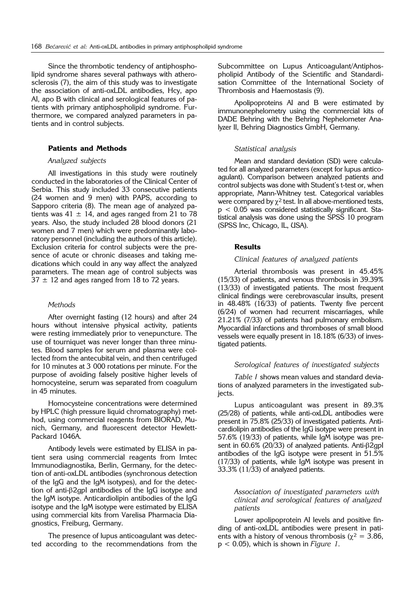Since the thrombotic tendency of antiphospholipid syndrome shares several pathways with atherosclerosis (7), the aim of this study was to investigate the association of anti-oxLDL antibodies, Hcy, apo AI, apo B with clinical and serological features of patients with primary antiphospholipid syndrome. Furthermore, we compared analyzed parameters in patients and in control subjects.

#### **Patients and Methods**

#### *Analyzed subjects*

All investigations in this study were routinely conducted in the laboratories of the Clinical Center of Serbia. This study included 33 consecutive patients (24 women and 9 men) with PAPS, according to Sapporo criteria (8). The mean age of analyzed patients was  $41 \pm 14$ , and ages ranged from 21 to 78 years. Also, the study included 28 blood donors (21 women and 7 men) which were predominantly laboratory personnel (including the authors of this article). Exclusion criteria for control subjects were the presence of acute or chronic diseases and taking medications which could in any way affect the analyzed parameters. The mean age of control subjects was  $37 \pm 12$  and ages ranged from 18 to 72 years.

#### *Methods*

After overnight fasting (12 hours) and after 24 hours without intensive physical activity, patients were resting immediately prior to venepuncture. The use of tourniquet was never longer than three minutes. Blood samples for serum and plasma were collected from the antecubital vein, and then centrifuged for 10 minutes at 3 000 rotations per minute. For the purpose of avoiding falsely positive higher levels of homocysteine, serum was separated from coagulum in 45 minutes.

Homocysteine concentrations were determined by HPLC (high pressure liquid chromatography) method, using commercial reagents from BIORAD, Munich, Germany, and fluorescent detector Hewlett-Packard 1046A.

Antibody levels were estimated by ELISA in patient sera using commercial reagents from Imtec Immunodiagnostika, Berlin, Germany, for the detection of anti-oxLDL antibodies (synchronous detection of the IgG and the IgM isotypes), and for the detection of anti- $\beta$ 2gpI antibodies of the IgG isotype and the IgM isotype. Anticardiolipin antibodies of the IgG isotype and the IgM isotype were estimated by ELISA using commercial kits from Varelisa Pharmacia Diagnostics, Freiburg, Germany.

The presence of lupus anticoagulant was detected according to the recommendations from the Subcommittee on Lupus Anticoagulant/Antiphospholipid Antibody of the Scientific and Standardisation Committee of the International Society of Thrombosis and Haemostasis (9).

Apolipoproteins AI and B were estimated by immunonephelometry using the commercial kits of DADE Behring with the Behring Nephelometer Analyzer II, Behring Diagnostics GmbH, Germany.

#### *Statistical analysis*

Mean and standard deviation (SD) were calculated for all analyzed parameters (except for lupus anticoagulant). Comparison between analyzed patients and control subjects was done with Student's t-test or, when appropriate, Mann-Whitney test. Categorical variables were compared by  $\chi^2$  test. In all above-mentioned tests, p < 0.05 was considered statistically significant. Statistical analysis was done using the SPSS 10 program (SPSS Inc, Chicago, IL, USA).

#### **Results**

#### *Clinical features of analyzed patients*

Arterial thrombosis was present in 45.45% (15/33) of patients, and venous thrombosis in 39.39% (13/33) of investigated patients. The most frequent clinical findings were cerebrovascular insults, present in 48.48% (16/33) of patients. Twenty five percent (6/24) of women had recurrent miscarriages, while 21.21% (7/33) of patients had pulmonary embolism. Myocardial infarctions and thromboses of small blood vessels were equally present in 18.18% (6/33) of investigated patients.

## *Serological features of investigated subjects*

*Table I* shows mean values and standard deviations of analyzed parameters in the investigated subjects.

Lupus anticoagulant was present in 89.3% (25/28) of patients, while anti-oxLDL antibodies were present in 75.8% (25/33) of investigated patients. Anticardiolipin antibodies of the IgG isotype were present in 57.6% (19/33) of patients, while IgM isotype was present in  $60.6\%$  (20/33) of analyzed patients. Anti- $\beta$ 2gpl antibodies of the IgG isotype were present in 51.5% (17/33) of patients, while IgM isotype was present in 33.3% (11/33) of analyzed patients.

### *Association of investigated parameters with clinical and serological features of analyzed patients*

Lower apolipoprotein AI levels and positive finding of anti-oxLDL antibodies were present in patients with a history of venous thrombosis ( $\chi^2 = 3.86$ , p < 0.05), which is shown in *Figure 1.*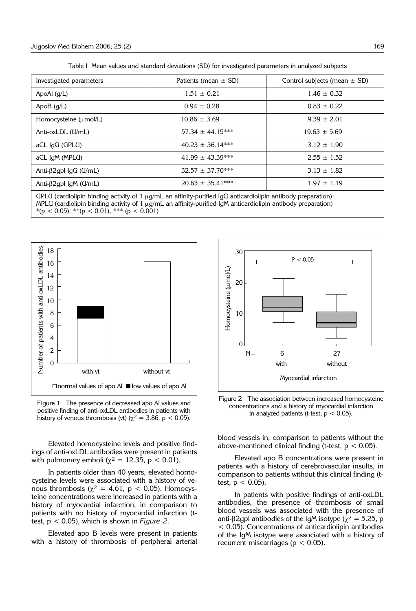| Table I Mean values and standard deviations (SD) for investigated parameters in analyzed subjects |  |  |  |  |
|---------------------------------------------------------------------------------------------------|--|--|--|--|
|                                                                                                   |  |  |  |  |

| Investigated parameters                                                                                                      | Patients (mean $\pm$ SD) | Control subjects (mean $\pm$ SD) |  |  |  |  |
|------------------------------------------------------------------------------------------------------------------------------|--------------------------|----------------------------------|--|--|--|--|
| ApoAl $(g/L)$                                                                                                                | $1.51 \pm 0.21$          | $1.46 \pm 0.32$                  |  |  |  |  |
| ApoB $(q/L)$                                                                                                                 | $0.94 \pm 0.28$          | $0.83 \pm 0.22$                  |  |  |  |  |
| Homocysteine (umol/L)                                                                                                        | $10.86 \pm 3.69$         | $9.39 \pm 2.01$                  |  |  |  |  |
| Anti-oxLDL (U/mL)                                                                                                            | $57.34 \pm 44.15***$     | $19.63 \pm 5.69$                 |  |  |  |  |
| aCL IgG (GPLU)                                                                                                               | $40.23 \pm 36.14***$     | $3.12 \pm 1.90$                  |  |  |  |  |
| aCL IgM (MPLU)                                                                                                               | $41.99 \pm 43.39***$     | $2.55 \pm 1.52$                  |  |  |  |  |
| Anti- $\beta$ 2gpl IgG (U/mL)                                                                                                | $32.57 \pm 37.70***$     | $3.13 \pm 1.82$                  |  |  |  |  |
| Anti-β2gpI IgM ( $U/mL$ )                                                                                                    | $20.63 \pm 35.41***$     | $1.97 \pm 1.19$                  |  |  |  |  |
| GPLU (cardiolipin binding activity of $1 \mu q/mL$ an affinity-purified $\overline{q}$ anticardiolipin antibody preparation) |                          |                                  |  |  |  |  |

MPLU (cardiolipin binding activity of 1  $\mu$ g/mL an affinity-purified IgM anticardiolipin antibody preparation)  $*(p < 0.05), **(p < 0.01), **(p < 0.001)$ 



Figure 1 The presence of decreased apo AI values and positive finding of anti-oxLDL antibodies in patients with history of venous thrombosis (vt) ( $\chi^2 = 3.86$ , p < 0.05).

Elevated homocysteine levels and positive findings of anti-oxLDL antibodies were present in patients with pulmonary emboli ( $\chi^2 = 12.35$ , p < 0.01).

In patients older than 40 years, elevated homocysteine levels were associated with a history of venous thrombosis ( $\chi^2 = 4.61$ , p < 0.05). Homocysteine concentrations were increased in patients with a history of myocardial infarction, in comparison to patients with no history of myocardial infarction (ttest, p < 0.05), which is shown in *Figure 2*.

Elevated apo B levels were present in patients with a history of thrombosis of peripheral arterial



Figure 2 The association between increased homocysteine concentrations and a history of myocardial infarction in analyzed patients (t-test,  $p < 0.05$ ).

blood vessels in, comparison to patients without the above-mentioned clinical finding (t-test,  $p < 0.05$ ).

Elevated apo B concentrations were present in patients with a history of cerebrovascular insults, in comparison to patients without this clinical finding (ttest,  $p < 0.05$ ).

In patients with positive findings of anti-oxLDL antibodies, the presence of thrombosis of small blood vessels was associated with the presence of anti- $\beta$ 2gpI antibodies of the IgM isotype ( $\chi^2 = 5.25$ , p < 0.05). Concentrations of anticardiolipin antibodies of the IgM isotype were associated with a history of recurrent miscarriages ( $p < 0.05$ ).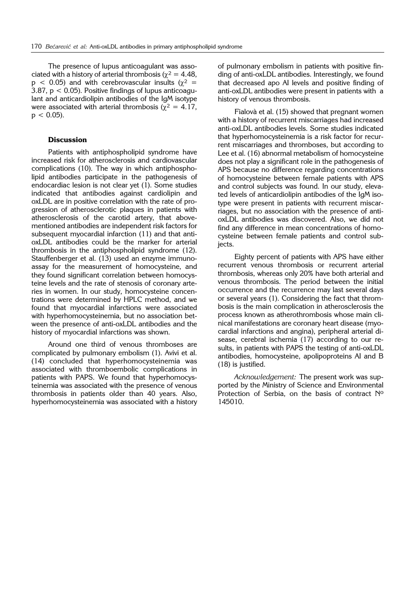The presence of lupus anticoagulant was associated with a history of arterial thrombosis ( $\gamma^2 = 4.48$ ,  $p < 0.05$ ) and with cerebrovascular insults ( $\chi^2 =$ 3.87, p < 0.05). Positive findings of lupus anticoagulant and anticardiolipin antibodies of the IgM isotype were associated with arterial thrombosis ( $\chi^2 = 4.17$ ,  $p < 0.05$ ).

#### **Discussion**

Patients with antiphospholipid syndrome have increased risk for atherosclerosis and cardiovascular complications (10). The way in which antiphospholipid antibodies participate in the pathogenesis of endocardiac lesion is not clear yet (1). Some studies indicated that antibodies against cardiolipin and oxLDL are in positive correlation with the rate of progression of atherosclerotic plaques in patients with atherosclerosis of the carotid artery, that abovementioned antibodies are independent risk factors for subsequent myocardial infarction (11) and that antioxLDL antibodies could be the marker for arterial thrombosis in the antiphospholipid syndrome (12). Stauffenberger et al. (13) used an enzyme immunoassay for the measurement of homocysteine, and they found significant correlation between homocysteine levels and the rate of stenosis of coronary arteries in women. In our study, homocysteine concentrations were determined by HPLC method, and we found that myocardial infarctions were associated with hyperhomocysteinemia, but no association between the presence of anti-oxLDL antibodies and the history of myocardial infarctions was shown.

Around one third of venous thromboses are complicated by pulmonary embolism (1). Avivi et al. (14) concluded that hyperhomocysteinemia was associated with thromboembolic complications in patients with PAPS. We found that hyperhomocysteinemia was associated with the presence of venous thrombosis in patients older than 40 years. Also, hyperhomocysteinemia was associated with a history of pulmonary embolism in patients with positive finding of anti-oxLDL antibodies. Interestingly, we found that decreased apo AI levels and positive finding of anti-oxLDL antibodies were present in patients with a history of venous thrombosis.

Fialovà et al. (15) showed that pregnant women with a history of recurrent miscarriages had increased anti-oxLDL antibodies levels. Some studies indicated that hyperhomocysteinemia is a risk factor for recurrent miscarriages and thromboses, but according to Lee et al. (16) abnormal metabolism of homocysteine does not play a significant role in the pathogenesis of APS because no difference regarding concentrations of homocysteine between female patients with APS and control subjects was found. In our study, elevated levels of anticardiolipin antibodies of the IgM isotype were present in patients with recurrent miscarriages, but no association with the presence of antioxLDL antibodies was discovered. Also, we did not find any difference in mean concentrations of homocysteine between female patients and control subjects.

Eighty percent of patients with APS have either recurrent venous thrombosis or recurrent arterial thrombosis, whereas only 20% have both arterial and venous thrombosis. The period between the initial occurrence and the recurrence may last several days or several years (1). Considering the fact that thrombosis is the main complication in atherosclerosis the process known as atherothrombosis whose main clinical manifestations are coronary heart disease (myocardial infarctions and angina), peripheral arterial disease, cerebral ischemia (17) according to our results, in patients with PAPS the testing of anti-oxLDL antibodies, homocysteine, apolipoproteins AI and B (18) is justified.

*Acknowledgement:* The present work was supported by the Ministry of Science and Environmental Protection of Serbia, on the basis of contract Nº 145010.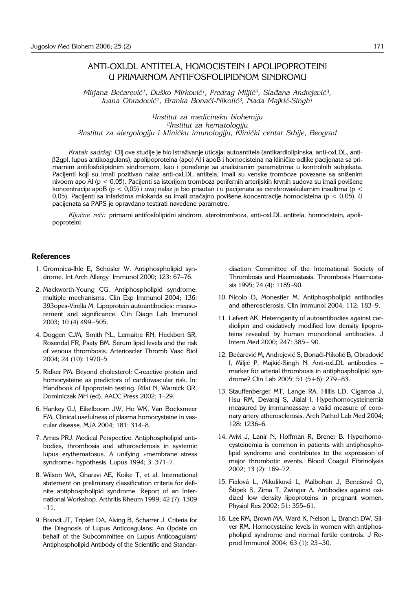## ANTI-OXLDL ANTITELA, HOMOCISTEIN I APOLIPOPROTEINI U PRIMARNOM ANTIFOSFOLIPIDNOM SINDROMU

Mirjana Bećarević<sup>1</sup>, Duško Mirković<sup>1</sup>, Predrag Miljić<sup>2</sup>, Slađana Andrejević<sup>3</sup>, *Ivana Obradovi}1, Branka Bona~i*-*Nikoli}3, Nada Majki}*-*Singh1*

*1Institut za medicinsku biohemiju 2Institut za hematologiju 3Institut za alergologiju i klini~ku imunologiju, Klini~ki centar Srbije, Beograd*

*Kratak sadržaj: Cilj ove studije je bio istraživanje uticaja: autoantitela (antikardiolipinska, anti-oxLDL, anti-* $\beta$ 2qpl, lupus antikoagulans), apolipoproteina (apo) AI i apoB i homocisteina na kliničke odlike pacijenata sa primarnim antifosfolipidnim sindromom, kao i poređenje sa analiziranim parametrima u kontrolnih subjekata. Pacijenti koji su imali pozitivan nalaz anti-oxLDL antitela, imali su venske tromboze povezane sa sniženim nivoom apo AI ( $p < 0.05$ ). Pacijenti sa istorijom tromboza perifernih arterijskih krvnih sudova su imali povišene koncentracije apoB (p < 0,05) i ovaj nalaz je bio prisutan i u pacijenata sa cerebrovaskularnim insultima (p < 0,05). Pacijenti sa infarktima miokarda su imali značajno povišene koncentracije homocisteina (p < 0,05). U pacijenata sa PAPS je opravdano testirati navedene parametre.

*Ključne reči: primarni antifosfolipidni sindrom, aterotromboza, anti-oxLDL antitela, homocistein, apoli*poproteini

#### **References**

- 1. Gromnica-Ihle E, Schösler W. Antiphospholipid syndrome. Int Arch Allergy Immunol 2000; 123: 67–76.
- 2. Mackworth-Young CG. Antiphospholipid syndrome: multiple mechanisms. Clin Exp Immunol 2004; 136: 393opes-Virella M. Lipoprotein autoantibodies: measurement and significance. Clin Diagn Lab Immunol 2003; 10 (4) 499–505.
- 4. Doggen CJM, Smith NL, Lemaitre RN, Heckbert SR, Rosendal FR, Psaty BM. Serum lipid levels and the risk of venous thrombosis. Arterioscler Thromb Vasc Biol 2004; 24 (10): 1970–5.
- 5. Ridker PM. Beyond cholesterol: C-reactive protein and homocysteine as predictors of cardiovascular risk. In: Handbook of lipoprotein testing. Rifai N, Warnick GR, Dominiczak MH (ed). AACC Press 2002; 1–29.
- 6. Hankey GJ, Eikelboom JW, Ho WK, Van Bockxmeer FM. Clinical usefulness of plasma homocysteine in vascular disease. MJA 2004; 181: 314–8.
- 7. Ames PRJ. Medical Perspective. Antiphospholipid antibodies, thrombosis and atherosclerosis in systemic lupus erythematosus. A unifying »membrane stress syndrome« hypothesis. Lupus 1994; 3: 371–7.
- 8. Wilson WA, Gharavi AE, Koike T, et al. International statement on preliminary classification criteria for definite antiphospholipid syndrome. Report of an International Workshop. Arthritis Rheum 1999; 42 (7): 1309 –11.
- 9. Brandt JT, Triplett DA, Alving B, Scharrer J. Criteria for the Diagnosis of Lupus Anticoagulans: An Update on behalf of the Subcommittee on Lupus Anticoagulant/ Antiphospholipid Antibody of the Scientific and Standar-

disation Committee of the International Society of Thrombosis and Haemostasis. Thrombosis Haemostasis 1995; 74 (4): 1185–90.

- 10. Nicolo D, Monestier M. Antiphospholipid antibodies and atherosclerosis. Clin Immunol 2004; 112: 183–9.
- 11. Lefvert AK. Heterogenity of autoantibodies against cardiolipin and oxidatively modified low density lipoproteins revealed by human monoclonal antibodies. J Intern Med 2000; 247: 385– 90.
- 12. Bećarević M, Andrejević S, Bonači-Nikolić B, Obradović I, Miljić P, Majkić-Singh N. Anti-oxLDL antibodies – marker for arterial thrombosis in antiphospholipid syndrome? Clin Lab 2005; 51 (5+6): 279–83.
- 13. Stauffenberger MT, Lange RA, Hillis LD, Cigarroa J, Hsu RM, Devaraj S, Jialal I. Hyperhomocysteinemia measured by immunoassay: a valid measure of coronary artery atherosclerosis. Arch Pathol Lab Med 2004; 128: 1236–6.
- 14. Avivi J, Lanir N, Hoffman R, Brener B. Hyperhomocysteinemia is common in patients with antiphospholipid syndrome and contributes to the expression of major thrombotic events. Blood Coagul Fibrinolysis 2002; 13 (2): 169–72.
- 15. Fialová L, Mikuliková L, Malbohan J, Benešová O, Štipek S, Zima T, Zwinger A. Antibodies against oxidized low density lipoproteins in pregnant women. Physiol Res 2002; 51: 355–61.
- 16. Lee RM, Brown MA, Ward K, Nelson L, Branch DW, Silver RM. Homocysteine levels in women with antiphospholipid syndrome and normal fertile controls. J Reprod Immunol 2004; 63 (1): 23–30.